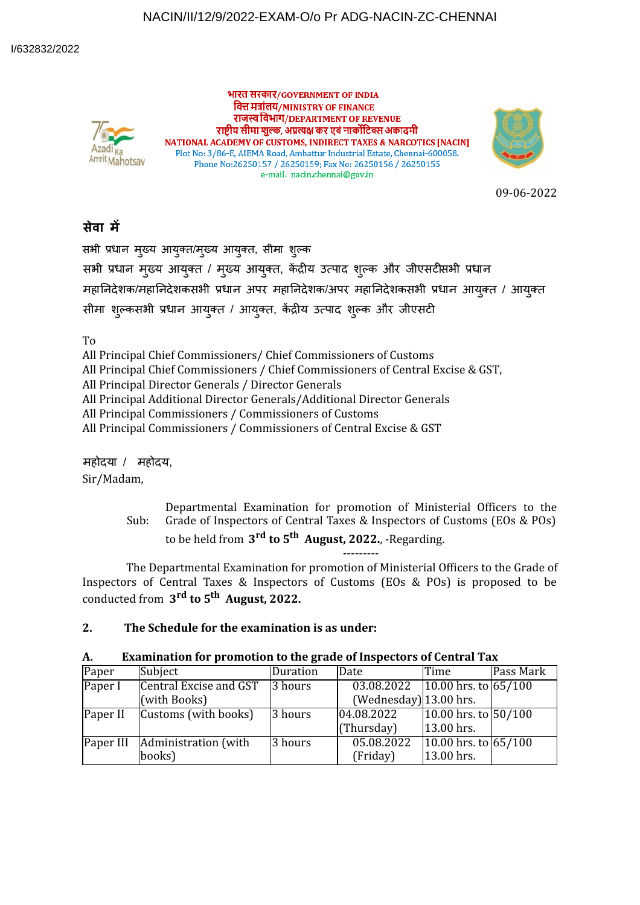## NACIN/II/12/9/2022-EXAM-O/o Pr ADG-NACIN-ZC-CHENNAI



भारत सरकार/GOVERNMENT OF INDIA वित्त मंत्रांलय/MINISTRY OF FINANCE राजस्व विभाग/DEPARTMENT OF REVENUE राष्ट्रीय सीमा शुल्क, अप्रत्यक्ष कर एवं नार्कोटिक्स अकादमी NATIONAL ACADEMY OF CUSTOMS, INDIRECT TAXES & NARCOTICS [NACIN] Plot No: 3/86-E, AIEMA Road, Ambattur Industrial Estate, Chennai-600058. Phone No:26250157 / 26250159; Fax No: 26250156 / 26250155 e-mail: nacin.chennai@gov.in



09-06-2022

## **सेवा म**

सभी प्रधान मुख्य आयुक्त/मुख्य आयुक्त, सीमा शुल्क

सभी प्रधान मुख्य आयुक्त / मुख्य आयुक्त, केंद्रीय उत्पाद शुल्क और जीएसटीसभी प्रधान महानिदेशक/महानिदेशकसभी प्रधान अपर महानिदेशक/अपर महानिदेशकसभी प्रधान आयुक्त / आयुक्त सीमा शुल्कसभी प्रधान आयुक्त / आयुक्त, केंद्रीय उत्पाद शुल्क और जीएसटी

To

All Principal Chief Commissioners/ Chief Commissioners of Customs

All Principal Chief Commissioners / Chief Commissioners of Central Excise & GST,

All Principal Director Generals / Director Generals

All Principal Additional Director Generals/Additional Director Generals

All Principal Commissioners / Commissioners of Customs

All Principal Commissioners / Commissioners of Central Excise & GST

महोदया / महोदय,

Sir/Madam,

Sub: Departmental Examination for promotion of Ministerial Officers to the Grade of Inspectors of Central Taxes & Inspectors of Customs (EOs & POs)

to be held from **3 rd to 5 th August, 2022.**, -Regarding. ---------

The Departmental Examination for promotion of Ministerial Officers to the Grade of Inspectors of Central Taxes & Inspectors of Customs (EOs & POs) is proposed to be conducted from **3 rd to 5 th August, 2022.**

## **2. The Schedule for the examination is as under:**

| А. |  | <b>Examination for promotion to the grade of Inspectors of Central Tax</b> |  |  |  |
|----|--|----------------------------------------------------------------------------|--|--|--|
|----|--|----------------------------------------------------------------------------|--|--|--|

| Paper     | Subject                | <b>Duration</b> | Date                            | Time                     | Pass Mark |
|-----------|------------------------|-----------------|---------------------------------|--------------------------|-----------|
| Paper I   | Central Excise and GST | 3 hours         | 03.08.2022 10.00 hrs. to 65/100 |                          |           |
|           | (with Books)           |                 | $(Wednesday) 13.00$ hrs.        |                          |           |
| Paper II  | Customs (with books)   | 3 hours         | 04.08.2022                      | 10.00 hrs. to 50/100     |           |
|           |                        |                 | (Thursday)                      | 13.00 hrs.               |           |
| Paper III | Administration (with   | 3 hours         | 05.08.2022                      | $10.00$ hrs. to $65/100$ |           |
|           | books)                 |                 | (Friday)                        | 13.00 hrs.               |           |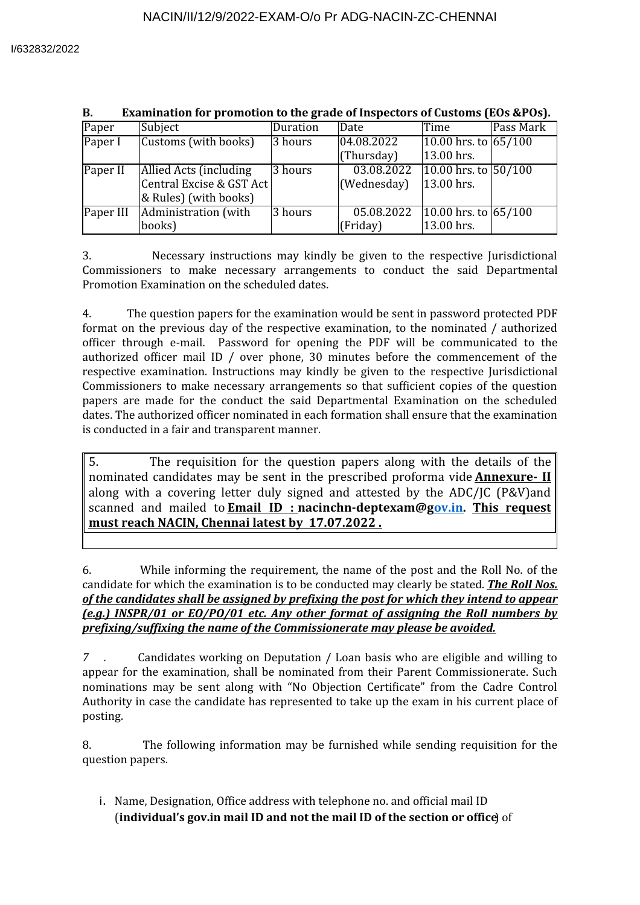| Paper     | Subject                  | Duration | Date        | Time                   | Pass Mark |
|-----------|--------------------------|----------|-------------|------------------------|-----------|
| Paper I   | Customs (with books)     | 3 hours  | 04.08.2022  | 10.00 hrs. to $65/100$ |           |
|           |                          |          | (Thursday)  | 13.00 hrs.             |           |
| Paper II  | Allied Acts (including   | 3 hours  | 03.08.2022  | 10.00 hrs. to $50/100$ |           |
|           | Central Excise & GST Act |          | (Wednesday) | 13.00 hrs.             |           |
|           | & Rules) (with books)    |          |             |                        |           |
| Paper III | Administration (with     | 3 hours  | 05.08.2022  | 10.00 hrs. to $65/100$ |           |
|           | books)                   |          | (Friday)    | 13.00 hrs.             |           |

#### **B. Examination for promotion to the grade of Inspectors of Customs (EOs &POs).**

3. Necessary instructions may kindly be given to the respective Jurisdictional Commissioners to make necessary arrangements to conduct the said Departmental Promotion Examination on the scheduled dates.

4. The question papers for the examination would be sent in password protected PDF format on the previous day of the respective examination, to the nominated / authorized officer through e-mail. Password for opening the PDF will be communicated to the authorized officer mail ID / over phone, 30 minutes before the commencement of the respective examination. Instructions may kindly be given to the respective Jurisdictional Commissioners to make necessary arrangements so that suf'icient copies of the question papers are made for the conduct the said Departmental Examination on the scheduled dates. The authorized officer nominated in each formation shall ensure that the examination is conducted in a fair and transparent manner.

5. The requisition for the question papers along with the details of the nominated candidates may be sent in the prescribed proforma vide **Annexure- II** along with a covering letter duly signed and attested by the ADC/JC (P&V)and scanned and mailed to **Email ID : nacinchn-deptexam@gov.in. This request must reach NACIN, Chennai latest by 17.07.2022 .**

6. While informing the requirement, the name of the post and the Roll No. of the candidate for which the examination is to be conducted may clearly be stated*. The Roll Nos. of the candidates shall be assigned by preixing the post for which they intend to appear (e.g.) INSPR/01 or EO/PO/01 etc. Any other format of assigning the Roll numbers by prefixing/suffixing the name of the Commissionerate may please be avoided.*

*7 .* Candidates working on Deputation / Loan basis who are eligible and willing to appear for the examination, shall be nominated from their Parent Commissionerate. Such nominations may be sent along with "No Objection Certificate" from the Cadre Control Authority in case the candidate has represented to take up the exam in his current place of posting.

8. The following information may be furnished while sending requisition for the question papers.

i. Name, Designation, Office address with telephone no. and official mail ID (**individual's gov.in mail ID and not the mail ID of the section or office**) of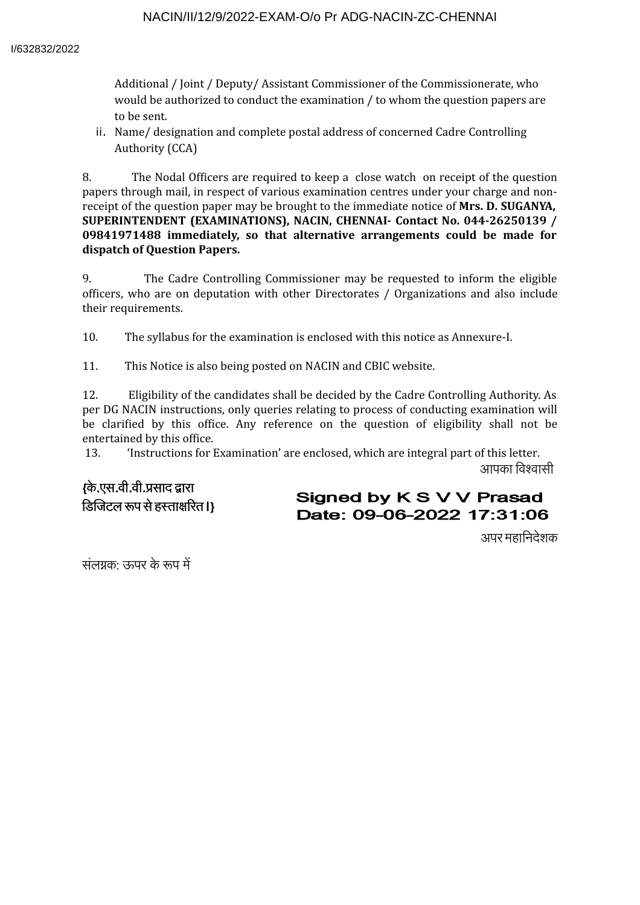### NACIN/II/12/9/2022-EXAM-O/o Pr ADG-NACIN-ZC-CHENNAI

Additional / Joint / Deputy/ Assistant Commissioner of the Commissionerate, who would be authorized to conduct the examination / to whom the question papers are to be sent.

ii. Name/ designation and complete postal address of concerned Cadre Controlling Authority (CCA)

8. The Nodal Officers are required to keep a close watch on receipt of the question papers through mail, in respect of various examination centres under your charge and nonreceipt of the question paper may be brought to the immediate notice of **Mrs. D. SUGANYA, SUPERINTENDENT (EXAMINATIONS), NACIN, CHENNAI- Contact No. 044-26250139 / 09841971488 immediately, so that alternative arrangements could be made for dispatch of Question Papers.**

9. The Cadre Controlling Commissioner may be requested to inform the eligible officers, who are on deputation with other Directorates / Organizations and also include their requirements.

10. The syllabus for the examination is enclosed with this notice as Annexure-I.

11. This Notice is also being posted on NACIN and CBIC website.

12. Eligibility of the candidates shall be decided by the Cadre Controlling Authority. As per DG NACIN instructions, only queries relating to process of conducting examination will be clarified by this office. Any reference on the question of eligibility shall not be entertained by this office.

13. 'Instructions for Examination' are enclosed, which are integral part of this letter. आपका विश्वासी

**{**के**.**एस**.**वी**.**वी**.**साद ारा डिजिटल रूप से हस्ताक्षरित I}

# Signed by K S V V Prasad Date: 09-06-2022 17:31:06

अपर महािनदेशक

संलग्नक $\cdot$  ऊपर के रूप में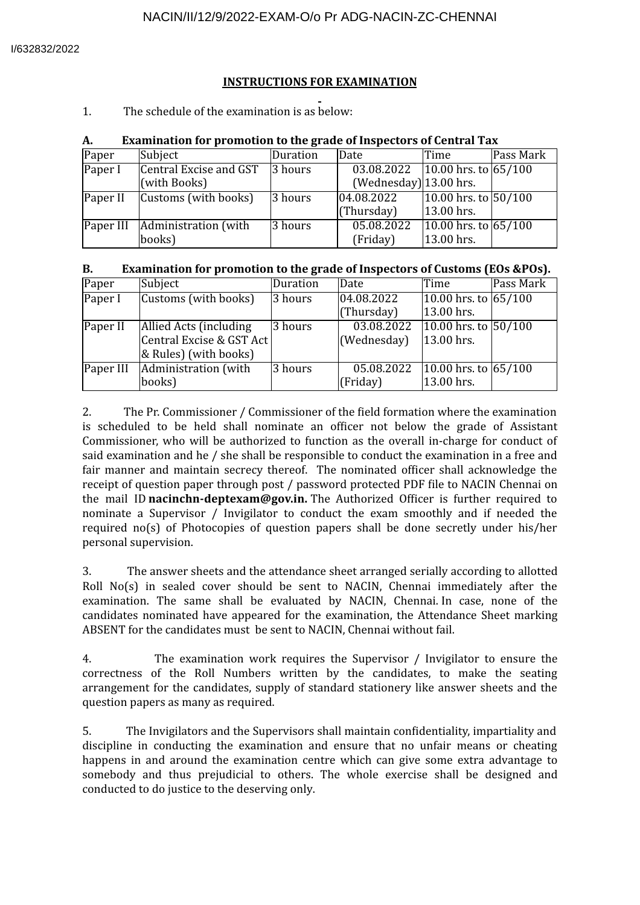## **INSTRUCTIONS FOR EXAMINATION**

1. The schedule of the examination is as below:

| А.       | Examination for promotion to the grade of inspectors of Central Tax |          |                                                           |                                        |           |  |
|----------|---------------------------------------------------------------------|----------|-----------------------------------------------------------|----------------------------------------|-----------|--|
| Paper    | Subject                                                             | Duration | Date                                                      | lTime.                                 | Pass Mark |  |
| Paper I  | Central Excise and GST<br>(with Books)                              | 3 hours  | 03.08.2022 10.00 hrs. to 65/100<br>(Wednesday) 13.00 hrs. |                                        |           |  |
| Paper II | Customs (with books)                                                | 3 hours  | 04.08.2022<br>(Thursday)                                  | $10.00$ hrs. to $50/100$<br>13.00 hrs. |           |  |
|          | Paper III Administration (with<br>books)                            | 3 hours  | 05.08.2022<br>(Friday)                                    | 10.00 hrs. to $65/100$<br>13.00 hrs.   |           |  |

#### **A. Examination for promotion to the grade of Inspectors of Central Tax**

| Examination for promotion to the grade of Inspectors of Customs (EOs &POs).<br><b>B.</b> |  |
|------------------------------------------------------------------------------------------|--|
|------------------------------------------------------------------------------------------|--|

| Paper     | Subject                  | Duration | Date        | Time                   | Pass Mark |
|-----------|--------------------------|----------|-------------|------------------------|-----------|
| Paper I   | Customs (with books)     | 3 hours  | 04.08.2022  | 10.00 hrs. to $65/100$ |           |
|           |                          |          | (Thursday)  | 13.00 hrs.             |           |
| Paper II  | Allied Acts (including   | 3 hours  | 03.08.2022  | 10.00 hrs. to 50/100   |           |
|           | Central Excise & GST Act |          | (Wednesday) | 13.00 hrs.             |           |
|           | & Rules) (with books)    |          |             |                        |           |
| Paper III | Administration (with     | 3 hours  | 05.08.2022  | 10.00 hrs. to $65/100$ |           |
|           | books)                   |          | (Friday)    | 13.00 hrs.             |           |

2. The Pr. Commissioner / Commissioner of the field formation where the examination is scheduled to be held shall nominate an officer not below the grade of Assistant Commissioner, who will be authorized to function as the overall in-charge for conduct of said examination and he / she shall be responsible to conduct the examination in a free and fair manner and maintain secrecy thereof. The nominated officer shall acknowledge the receipt of question paper through post / password protected PDF file to NACIN Chennai on the mail ID nacinchn-deptexam@gov.in. The Authorized Officer is further required to nominate a Supervisor / Invigilator to conduct the exam smoothly and if needed the required no(s) of Photocopies of question papers shall be done secretly under his/her personal supervision.

3. The answer sheets and the attendance sheet arranged serially according to allotted Roll No(s) in sealed cover should be sent to NACIN, Chennai immediately after the examination. The same shall be evaluated by NACIN, Chennai. In case, none of the candidates nominated have appeared for the examination, the Attendance Sheet marking ABSENT for the candidates must be sent to NACIN, Chennai without fail.

4. The examination work requires the Supervisor / Invigilator to ensure the correctness of the Roll Numbers written by the candidates, to make the seating arrangement for the candidates, supply of standard stationery like answer sheets and the question papers as many as required.

5. The Invigilators and the Supervisors shall maintain con'identiality, impartiality and discipline in conducting the examination and ensure that no unfair means or cheating happens in and around the examination centre which can give some extra advantage to somebody and thus prejudicial to others. The whole exercise shall be designed and conducted to do justice to the deserving only.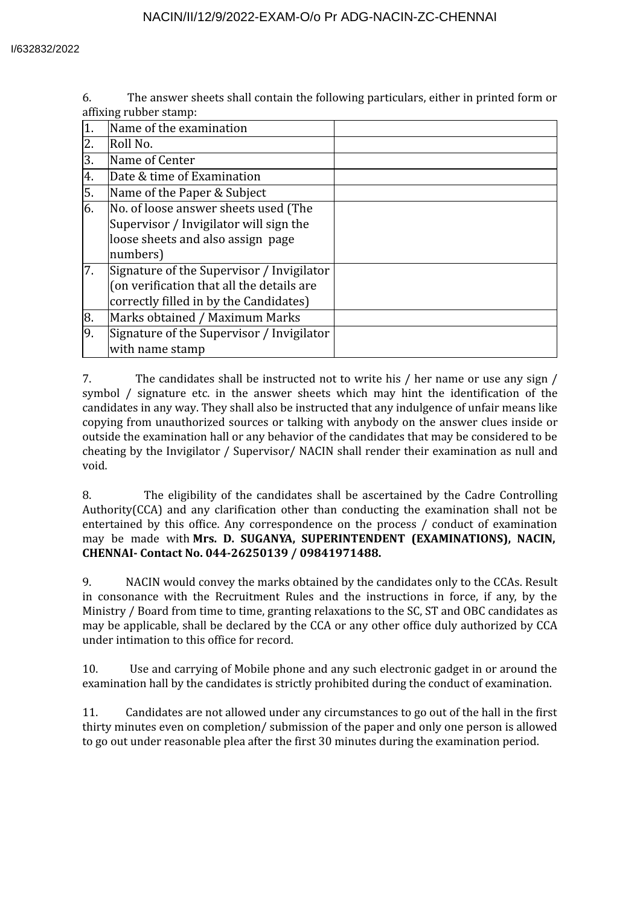6. The answer sheets shall contain the following particulars, either in printed form or affixing rubber stamp:

|         | Name of the examination                                                                                                          |  |
|---------|----------------------------------------------------------------------------------------------------------------------------------|--|
| $2^{-}$ | Roll No.                                                                                                                         |  |
| 3.      | Name of Center                                                                                                                   |  |
| 4.      | Date & time of Examination                                                                                                       |  |
| 5.      | Name of the Paper & Subject                                                                                                      |  |
| 6.      | No. of loose answer sheets used (The<br>Supervisor / Invigilator will sign the<br>loose sheets and also assign page<br>numbers)  |  |
| 7.      | Signature of the Supervisor / Invigilator<br>(on verification that all the details are<br>correctly filled in by the Candidates) |  |
| 8.      | Marks obtained / Maximum Marks                                                                                                   |  |
| 9.      | Signature of the Supervisor / Invigilator<br>with name stamp                                                                     |  |

7. The candidates shall be instructed not to write his / her name or use any sign / symbol / signature etc. in the answer sheets which may hint the identification of the candidates in any way. They shall also be instructed that any indulgence of unfair means like copying from unauthorized sources or talking with anybody on the answer clues inside or outside the examination hall or any behavior of the candidates that may be considered to be cheating by the Invigilator / Supervisor/ NACIN shall render their examination as null and void.

8. The eligibility of the candidates shall be ascertained by the Cadre Controlling Authority( $CCA$ ) and any clarification other than conducting the examination shall not be entertained by this office. Any correspondence on the process / conduct of examination may be made with **Mrs. D. SUGANYA, SUPERINTENDENT (EXAMINATIONS), NACIN, CHENNAI- Contact No. 044-26250139 / 09841971488.**

9. NACIN would convey the marks obtained by the candidates only to the CCAs. Result in consonance with the Recruitment Rules and the instructions in force, if any, by the Ministry / Board from time to time, granting relaxations to the SC, ST and OBC candidates as may be applicable, shall be declared by the CCA or any other office duly authorized by CCA under intimation to this office for record.

10. Use and carrying of Mobile phone and any such electronic gadget in or around the examination hall by the candidates is strictly prohibited during the conduct of examination.

11. Candidates are not allowed under any circumstances to go out of the hall in the first thirty minutes even on completion/ submission of the paper and only one person is allowed to go out under reasonable plea after the first 30 minutes during the examination period.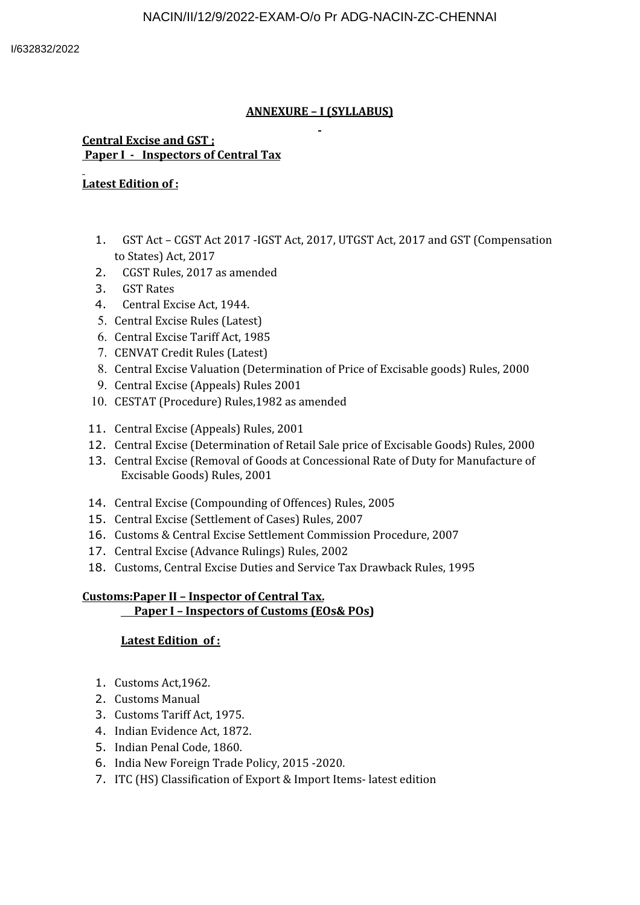## **ANNEXURE – I (SYLLABUS)**

#### **Central Excise and GST ; Paper I - Inspectors of Central Tax**

## **Latest Edition of :**

- 1. GST Act CGST Act 2017 -IGST Act, 2017, UTGST Act, 2017 and GST (Compensation to States) Act, 2017
- 2. CGST Rules, 2017 as amended
- 3. GST Rates
- 4. Central Excise Act, 1944.
- 5. Central Excise Rules (Latest)
- 6. Central Excise Tariff Act, 1985
- 7. CENVAT Credit Rules (Latest)
- 8. Central Excise Valuation (Determination of Price of Excisable goods) Rules, 2000
- 9. Central Excise (Appeals) Rules 2001
- 10. CESTAT (Procedure) Rules,1982 as amended
- 11. Central Excise (Appeals) Rules, 2001
- 12. Central Excise (Determination of Retail Sale price of Excisable Goods) Rules, 2000
- 13. Central Excise (Removal of Goods at Concessional Rate of Duty for Manufacture of Excisable Goods) Rules, 2001
- 14. Central Excise (Compounding of Offences) Rules, 2005
- 15. Central Excise (Settlement of Cases) Rules, 2007
- 16. Customs & Central Excise Settlement Commission Procedure, 2007
- 17. Central Excise (Advance Rulings) Rules, 2002
- 18. Customs, Central Excise Duties and Service Tax Drawback Rules, 1995

#### **Customs:Paper II – Inspector of Central Tax. Paper I – Inspectors of Customs (EOs& POs)**

## **Latest Edition of :**

- 1. Customs Act,1962.
- 2. Customs Manual
- 3. Customs Tariff Act, 1975.
- 4. Indian Evidence Act, 1872.
- 5. Indian Penal Code, 1860.
- 6. India New Foreign Trade Policy, 2015 -2020.
- 7. ITC (HS) Classification of Export & Import Items- latest edition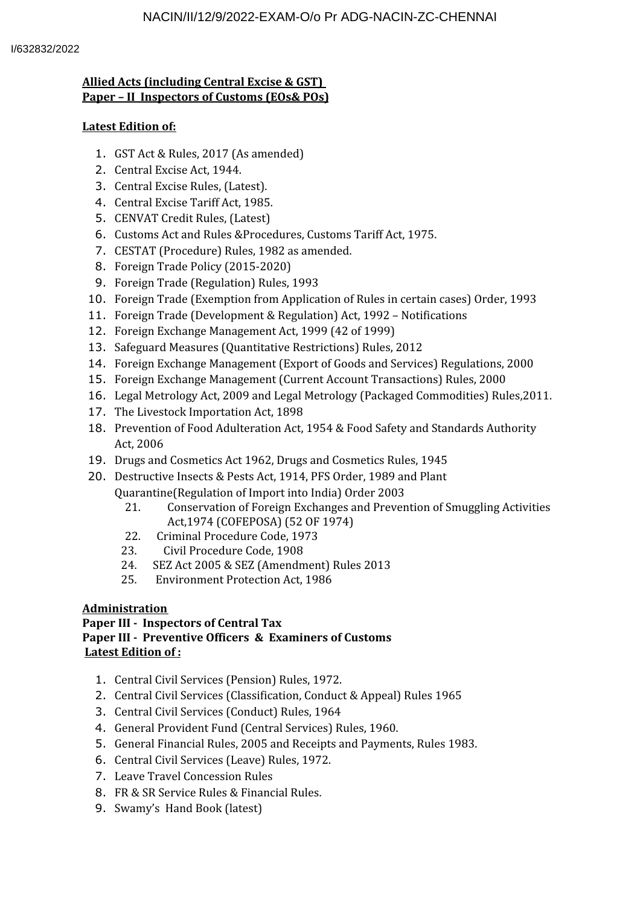## **Allied Acts (including Central Excise & GST) Paper – II Inspectors of Customs (EOs& POs)**

### **Latest Edition of:**

- 1. GST Act & Rules, 2017 (As amended)
- 2. Central Excise Act, 1944.
- 3. Central Excise Rules, (Latest).
- 4. Central Excise Tariff Act, 1985.
- 5. CENVAT Credit Rules, (Latest)
- 6. Customs Act and Rules &Procedures, Customs Tariff Act, 1975.
- 7. CESTAT (Procedure) Rules, 1982 as amended.
- 8. Foreign Trade Policy (2015-2020)
- 9. Foreign Trade (Regulation) Rules, 1993
- 10. Foreign Trade (Exemption from Application of Rules in certain cases) Order, 1993
- 11. Foreign Trade (Development & Regulation) Act, 1992 Notifications
- 12. Foreign Exchange Management Act, 1999 (42 of 1999)
- 13. Safeguard Measures (Quantitative Restrictions) Rules, 2012
- 14. Foreign Exchange Management (Export of Goods and Services) Regulations, 2000
- 15. Foreign Exchange Management (Current Account Transactions) Rules, 2000
- 16. Legal Metrology Act, 2009 and Legal Metrology (Packaged Commodities) Rules,2011.
- 17. The Livestock Importation Act, 1898
- 18. Prevention of Food Adulteration Act, 1954 & Food Safety and Standards Authority Act, 2006
- 19. Drugs and Cosmetics Act 1962, Drugs and Cosmetics Rules, 1945
- 20. Destructive Insects & Pests Act, 1914, PFS Order, 1989 and Plant Quarantine(Regulation of Import into India) Order 2003
	- 21. Conservation of Foreign Exchanges and Prevention of Smuggling Activities Act,1974 (COFEPOSA) (52 OF 1974)
	- 22. Criminal Procedure Code, 1973
	- 23. Civil Procedure Code, 1908
	- 24. SEZ Act 2005 & SEZ (Amendment) Rules 2013
	- 25. Environment Protection Act, 1986

## **Administration**

#### **Paper III - Inspectors of Central Tax Paper III - Preventive Officers & Examiners of Customs Latest Edition of :**

- 1. Central Civil Services (Pension) Rules, 1972.
- 2. Central Civil Services (Classification, Conduct & Appeal) Rules 1965
- 3. Central Civil Services (Conduct) Rules, 1964
- 4. General Provident Fund (Central Services) Rules, 1960.
- 5. General Financial Rules, 2005 and Receipts and Payments, Rules 1983.
- 6. Central Civil Services (Leave) Rules, 1972.
- 7. Leave Travel Concession Rules
- 8. FR & SR Service Rules & Financial Rules.
- 9. Swamy's Hand Book (latest)